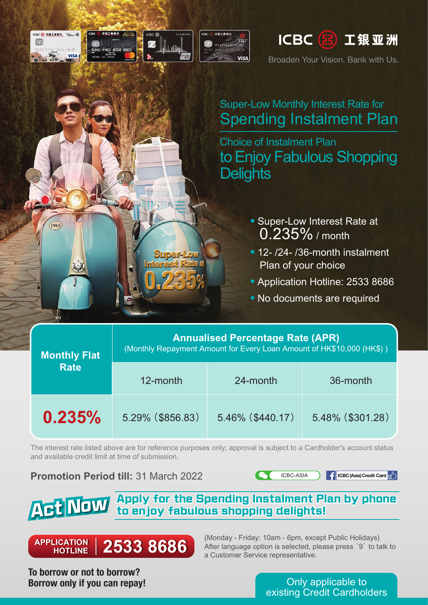

Broaden Your Vision. Bank with Us.

## Super-Low Monthly Interest Rate for Spending Instalment Plan

Choice of Instalment Plan to Enjoy Fabulous Shopping **Delights** 

- ‧Super-Low Interest Rate at 0.235% / month
- 12- /24- /36-month instalment Plan of your choice
- Application Hotline: 2533 8686
- ‧No documents are required

## **Annualised Percentage Rate (APR)**

(Monthly Repayment Amount for Every Loan Amount of HK\$10,000 (HK\$) )

**Monthly Flat**

|<br>|CBC(33)中国工商银行 <sup>Visa</sup>way)||

 $(1965)$ 

**VISA** 

| <b>Rate</b> | 12-month         | 24-month            | 36-month         |
|-------------|------------------|---------------------|------------------|
| $0.235\%$   | 5.29% (\$856.83) | $5.46\%$ (\$440.17) | 5.48% (\$301.28) |

**中国工業銀名** 

96

The interest rate listed above are for reference purposes only; approval is subject to a Cardholder's account status and available credit limit at time of submission.

**Promotion Period till:** 31 March 2022



**f** ICBC (Asia) Credit Card  $\left[\right]$ 

## **Apply for the Spending Instalment Plan by phone Act Now to enjoy fabulous shopping delights!**

**APPLICATION APPLICATION HOTLINE HOTLINE**

(Monday - Friday: 10am - 6pm, except Public Holidays) 2533 8686 **Produced After language option is selected**, please press '9' to talk to a Customer Service representative.

**To borrow or not to borrow? Borrow only if you can repay!**

Only applicable to existing Credit Cardholders